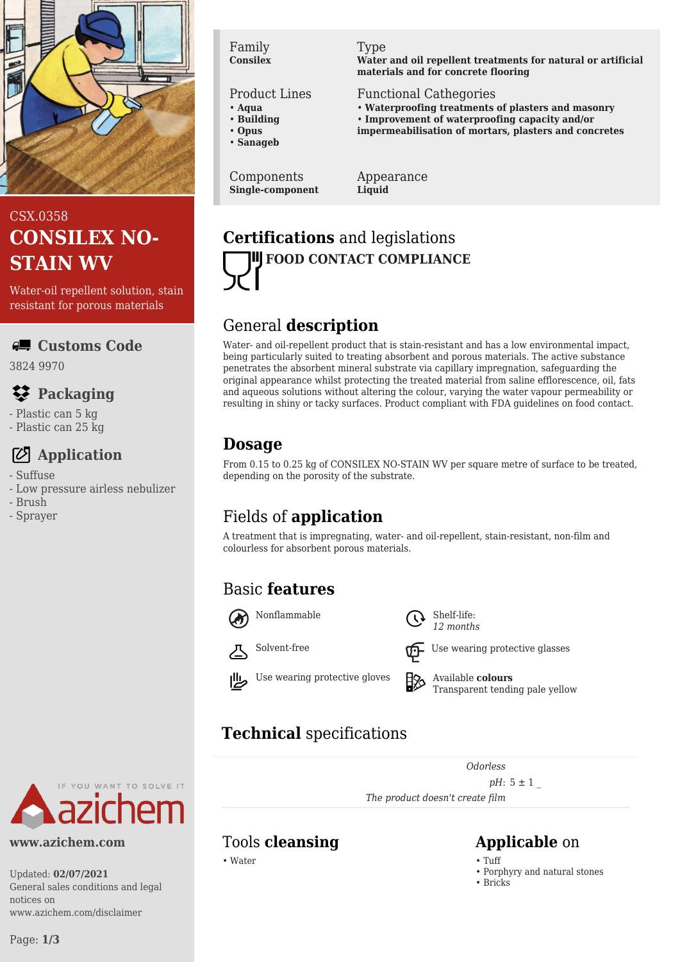

# CSX.0358 **CONSILEX NO-STAIN WV**

Water-oil repellent solution, stain resistant for porous materials

#### **Customs Code**

3824 9970

## **Packaging**

- Plastic can 5 kg
- Plastic can 25 kg

# **Application**

- Suffuse
- Low pressure airless nebulizer
- Brush
- Sprayer

#### Family **Consilex**

#### Product Lines

- **Aqua**
- **Building**
- **Opus**
- **Sanageb**

Components **Single-component**

#### Type

**Water and oil repellent treatments for natural or artificial materials and for concrete flooring**

Functional Cathegories

- **Waterproofing treatments of plasters and masonry**
- **Improvement of waterproofing capacity and/or**
- **impermeabilisation of mortars, plasters and concretes**

Appearance **Liquid**

# **Certifications** and legislations **FOOD CONTACT COMPLIANCE**

## General **description**

Water- and oil-repellent product that is stain-resistant and has a low environmental impact, being particularly suited to treating absorbent and porous materials. The active substance penetrates the absorbent mineral substrate via capillary impregnation, safeguarding the original appearance whilst protecting the treated material from saline efflorescence, oil, fats and aqueous solutions without altering the colour, varying the water vapour permeability or resulting in shiny or tacky surfaces. Product compliant with FDA guidelines on food contact.

# **Dosage**

From 0.15 to 0.25 kg of CONSILEX NO-STAIN WV per square metre of surface to be treated, depending on the porosity of the substrate.

# Fields of **application**

A treatment that is impregnating, water- and oil-repellent, stain-resistant, non-film and colourless for absorbent porous materials.

# Basic **features**





Nonflammable  $\bigcap$  Shelf-life:



*12 months*



Solvent-free  $\overline{U}$  Use wearing protective glasses



Use wearing protective gloves  $\Box$  Available **colours** Transparent tending pale yellow

# **Technical** specifications

*Odorless*

*pH*:  $5 \pm 1$ 

*The product doesn't create film*

# YOU WANT TO SOLVE IT

#### **www.azichem.com**

Updated: **02/07/2021** General sales conditions and legal notices on www.azichem.com/disclaimer

#### Tools **cleansing Applicable** on

• Water • Tuff

- 
- Porphyry and natural stones
- Bricks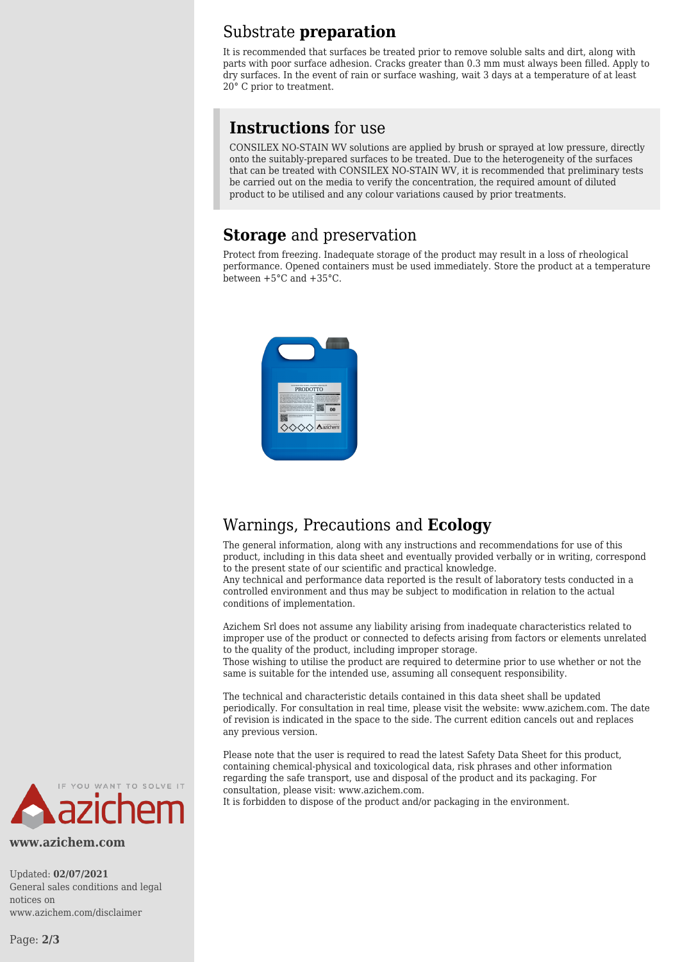#### Substrate **preparation**

It is recommended that surfaces be treated prior to remove soluble salts and dirt, along with parts with poor surface adhesion. Cracks greater than 0.3 mm must always been filled. Apply to dry surfaces. In the event of rain or surface washing, wait 3 days at a temperature of at least 20° C prior to treatment.

#### **Instructions** for use

CONSILEX NO-STAIN WV solutions are applied by brush or sprayed at low pressure, directly onto the suitably-prepared surfaces to be treated. Due to the heterogeneity of the surfaces that can be treated with CONSILEX NO-STAIN WV, it is recommended that preliminary tests be carried out on the media to verify the concentration, the required amount of diluted product to be utilised and any colour variations caused by prior treatments.

#### **Storage** and preservation

Protect from freezing. Inadequate storage of the product may result in a loss of rheological performance. Opened containers must be used immediately. Store the product at a temperature between +5°C and +35°C.



#### Warnings, Precautions and **Ecology**

The general information, along with any instructions and recommendations for use of this product, including in this data sheet and eventually provided verbally or in writing, correspond to the present state of our scientific and practical knowledge.

Any technical and performance data reported is the result of laboratory tests conducted in a controlled environment and thus may be subject to modification in relation to the actual conditions of implementation.

Azichem Srl does not assume any liability arising from inadequate characteristics related to improper use of the product or connected to defects arising from factors or elements unrelated to the quality of the product, including improper storage.

Those wishing to utilise the product are required to determine prior to use whether or not the same is suitable for the intended use, assuming all consequent responsibility.

The technical and characteristic details contained in this data sheet shall be updated periodically. For consultation in real time, please visit the website: www.azichem.com. The date of revision is indicated in the space to the side. The current edition cancels out and replaces any previous version.

Please note that the user is required to read the latest Safety Data Sheet for this product, containing chemical-physical and toxicological data, risk phrases and other information regarding the safe transport, use and disposal of the product and its packaging. For consultation, please visit: www.azichem.com.





**www.azichem.com**

Updated: **02/07/2021** General sales conditions and legal notices on www.azichem.com/disclaimer